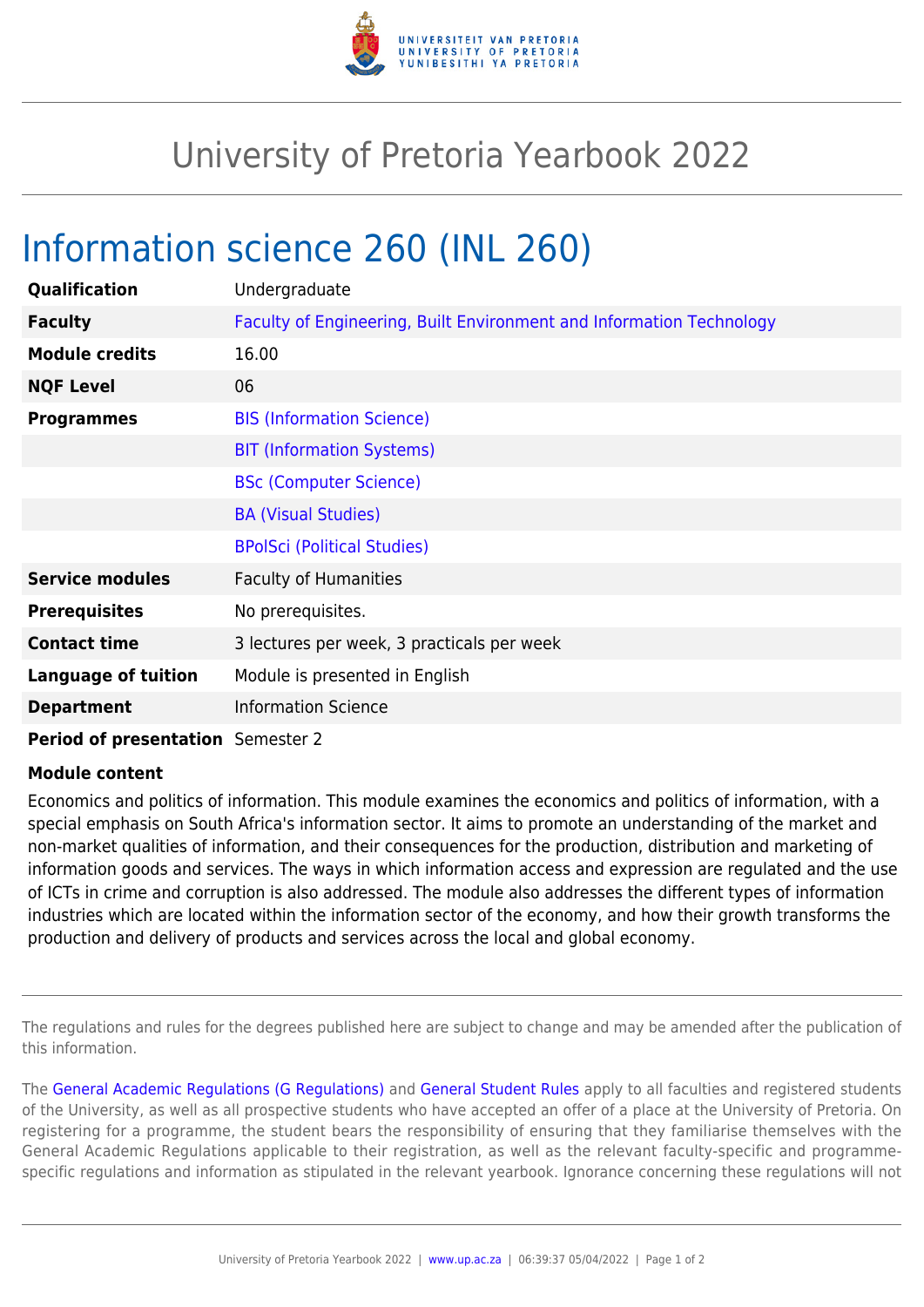

## University of Pretoria Yearbook 2022

## Information science 260 (INL 260)

| Qualification                            | Undergraduate                                                        |
|------------------------------------------|----------------------------------------------------------------------|
| <b>Faculty</b>                           | Faculty of Engineering, Built Environment and Information Technology |
| <b>Module credits</b>                    | 16.00                                                                |
| <b>NQF Level</b>                         | 06                                                                   |
| <b>Programmes</b>                        | <b>BIS (Information Science)</b>                                     |
|                                          | <b>BIT (Information Systems)</b>                                     |
|                                          | <b>BSc (Computer Science)</b>                                        |
|                                          | <b>BA (Visual Studies)</b>                                           |
|                                          | <b>BPolSci (Political Studies)</b>                                   |
| <b>Service modules</b>                   | <b>Faculty of Humanities</b>                                         |
| <b>Prerequisites</b>                     | No prerequisites.                                                    |
| <b>Contact time</b>                      | 3 lectures per week, 3 practicals per week                           |
| <b>Language of tuition</b>               | Module is presented in English                                       |
| <b>Department</b>                        | <b>Information Science</b>                                           |
| <b>Period of presentation</b> Semester 2 |                                                                      |

## **Module content**

Economics and politics of information. This module examines the economics and politics of information, with a special emphasis on South Africa's information sector. It aims to promote an understanding of the market and non-market qualities of information, and their consequences for the production, distribution and marketing of information goods and services. The ways in which information access and expression are regulated and the use of ICTs in crime and corruption is also addressed. The module also addresses the different types of information industries which are located within the information sector of the economy, and how their growth transforms the production and delivery of products and services across the local and global economy.

The regulations and rules for the degrees published here are subject to change and may be amended after the publication of this information.

The [General Academic Regulations \(G Regulations\)](https://www.up.ac.za/parents/yearbooks/2022/rules/view/REG) and [General Student Rules](https://www.up.ac.za/parents/yearbooks/2022/rules/view/RUL) apply to all faculties and registered students of the University, as well as all prospective students who have accepted an offer of a place at the University of Pretoria. On registering for a programme, the student bears the responsibility of ensuring that they familiarise themselves with the General Academic Regulations applicable to their registration, as well as the relevant faculty-specific and programmespecific regulations and information as stipulated in the relevant yearbook. Ignorance concerning these regulations will not